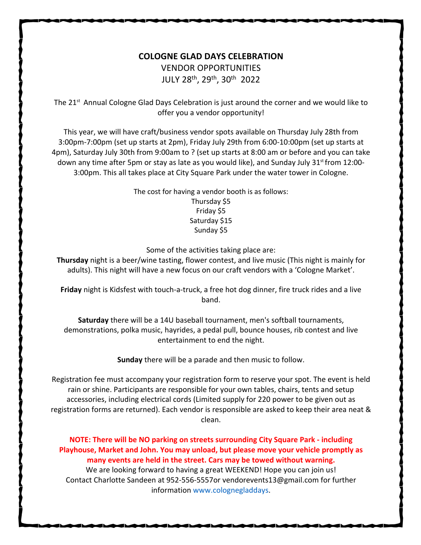## **COLOGNE GLAD DAYS CELEBRATION**

VENDOR OPPORTUNITIES JULY 28th, 29th, 30th 2022

The  $21<sup>st</sup>$  Annual Cologne Glad Days Celebration is just around the corner and we would like to offer you a vendor opportunity!

This year, we will have craft/business vendor spots available on Thursday July 28th from 3:00pm-7:00pm (set up starts at 2pm), Friday July 29th from 6:00-10:00pm (set up starts at 4pm), Saturday July 30th from 9:00am to ? (set up starts at 8:00 am or before and you can take down any time after 5pm or stay as late as you would like), and Sunday July  $31^{st}$  from 12:00-3:00pm. This all takes place at City Square Park under the water tower in Cologne.

> The cost for having a vendor booth is as follows: Thursday \$5 Friday \$5 Saturday \$15 Sunday \$5

Some of the activities taking place are:

**Thursday** night is a beer/wine tasting, flower contest, and live music (This night is mainly for adults). This night will have a new focus on our craft vendors with a 'Cologne Market'.

**Friday** night is Kidsfest with touch-a-truck, a free hot dog dinner, fire truck rides and a live band.

**Saturday** there will be a 14U baseball tournament, men's softball tournaments, demonstrations, polka music, hayrides, a pedal pull, bounce houses, rib contest and live entertainment to end the night.

**Sunday** there will be a parade and then music to follow.

Registration fee must accompany your registration form to reserve your spot. The event is held rain or shine. Participants are responsible for your own tables, chairs, tents and setup accessories, including electrical cords (Limited supply for 220 power to be given out as registration forms are returned). Each vendor is responsible are asked to keep their area neat & clean.

**NOTE: There will be NO parking on streets surrounding City Square Park - including Playhouse, Market and John. You may unload, but please move your vehicle promptly as many events are held in the street. Cars may be towed without warning.**

We are looking forward to having a great WEEKEND! Hope you can join us! Contact Charlotte Sandeen at 952-556-5557or vendorevents13@gmail.com for further information www.colognegladdays.